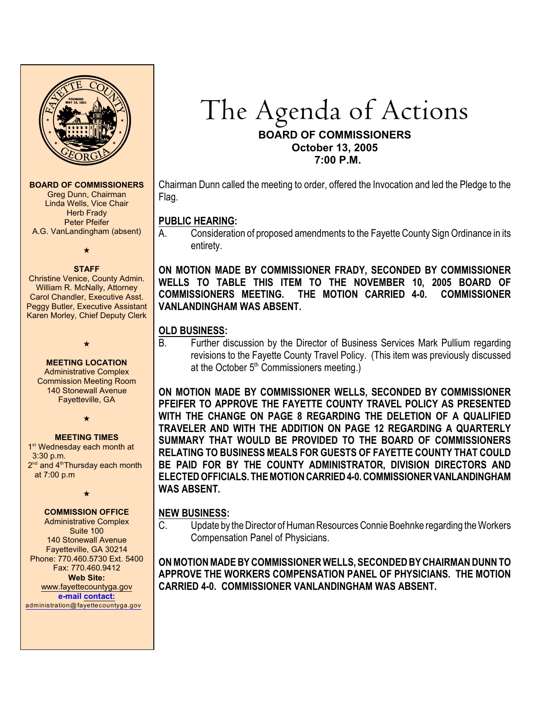

#### **BOARD OF COMMISSIONERS**

Greg Dunn, Chairman Linda Wells, Vice Chair **Herb Frady** Peter Pfeifer A.G. VanLandingham (absent)

 $\star$ 

#### **STAFF**

Christine Venice, County Admin. William R. McNally, Attorney Carol Chandler, Executive Asst. Peggy Butler, Executive Assistant Karen Morley, Chief Deputy Clerk

#### **MEETING LOCATION**

 $\star$ 

Administrative Complex Commission Meeting Room 140 Stonewall Avenue Fayetteville, GA

 $\star$ 

#### **MEETING TIMES**

1<sup>st</sup> Wednesday each month at 3:30 p.m.  $2<sup>nd</sup>$  and  $4<sup>th</sup>$ Thursday each month at 7:00 p.m

 $\star$ 

# **COMMISSION OFFICE**

Administrative Complex Suite 100 140 Stonewall Avenue Fayetteville, GA 30214 Phone: 770.460.5730 Ext. 5400 Fax: 770.460.9412 **Web Site:** [www.fayettecountyga.gov](http://www.admin.co.fayette.ga.us) **e-mail [contact:](mailto:administration@fayettecountyga.gov)**

[administration@fayettecountyga.gov](mailto:administration@fayettecountyga.gov)

# The Agenda of Actions **BOARD OF COMMISSIONERS October 13, 2005 7:00 P.M.**

Chairman Dunn called the meeting to order, offered the Invocation and led the Pledge to the Flag.

# **PUBLIC HEARING:**

A. Consideration of proposed amendments to the Fayette County Sign Ordinance in its entirety.

**ON MOTION MADE BY COMMISSIONER FRADY, SECONDED BY COMMISSIONER WELLS TO TABLE THIS ITEM TO THE NOVEMBER 10, 2005 BOARD OF COMMISSIONERS MEETING. THE MOTION CARRIED 4-0. COMMISSIONER VANLANDINGHAM WAS ABSENT.** 

# **OLD BUSINESS:**

B. Further discussion by the Director of Business Services Mark Pullium regarding revisions to the Fayette County Travel Policy. (This item was previously discussed at the October 5<sup>th</sup> Commissioners meeting.)

**ON MOTION MADE BY COMMISSIONER WELLS, SECONDED BY COMMISSIONER PFEIFER TO APPROVE THE FAYETTE COUNTY TRAVEL POLICY AS PRESENTED WITH THE CHANGE ON PAGE 8 REGARDING THE DELETION OF A QUALIFIED TRAVELER AND WITH THE ADDITION ON PAGE 12 REGARDING A QUARTERLY SUMMARY THAT WOULD BE PROVIDED TO THE BOARD OF COMMISSIONERS RELATING TO BUSINESS MEALS FOR GUESTS OF FAYETTE COUNTY THAT COULD BE PAID FOR BY THE COUNTY ADMINISTRATOR, DIVISION DIRECTORS AND ELECTED OFFICIALS. THE MOTION CARRIED 4-0. COMMISSIONER VANLANDINGHAM WAS ABSENT.** 

# **NEW BUSINESS:**

C. Update by the Director of Human Resources Connie Boehnke regarding the Workers Compensation Panel of Physicians.

**ON MOTION MADE BY COMMISSIONER WELLS, SECONDED BY CHAIRMAN DUNN TO APPROVE THE WORKERS COMPENSATION PANEL OF PHYSICIANS. THE MOTION CARRIED 4-0. COMMISSIONER VANLANDINGHAM WAS ABSENT.**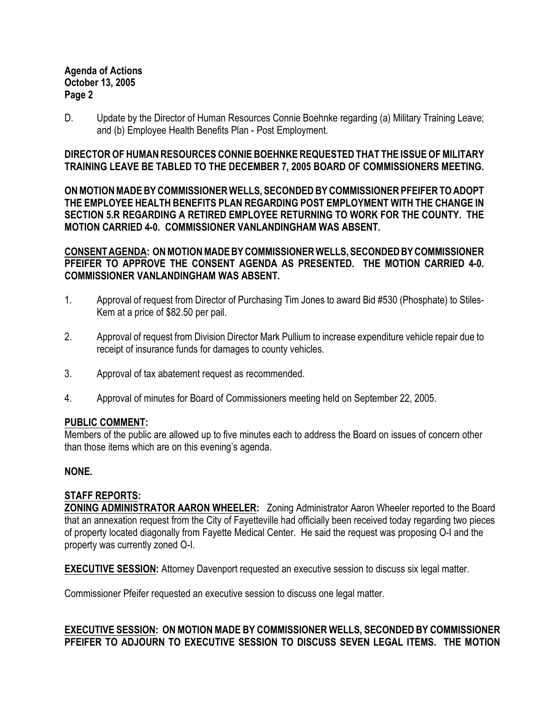## **Agenda of Actions October 13, 2005 Page 2**

D. Update by the Director of Human Resources Connie Boehnke regarding (a) Military Training Leave; and (b) Employee Health Benefits Plan - Post Employment.

**DIRECTOR OF HUMAN RESOURCES CONNIE BOEHNKE REQUESTED THAT THE ISSUE OF MILITARY TRAINING LEAVE BE TABLED TO THE DECEMBER 7, 2005 BOARD OF COMMISSIONERS MEETING.**

**ON MOTION MADE BY COMMISSIONER WELLS, SECONDED BY COMMISSIONER PFEIFER TO ADOPT THE EMPLOYEE HEALTH BENEFITS PLAN REGARDING POST EMPLOYMENT WITH THE CHANGE IN SECTION 5.R REGARDING A RETIRED EMPLOYEE RETURNING TO WORK FOR THE COUNTY. THE MOTION CARRIED 4-0. COMMISSIONER VANLANDINGHAM WAS ABSENT.** 

**CONSENT AGENDA: ON MOTION MADE BY COMMISSIONER WELLS, SECONDED BY COMMISSIONER PFEIFER TO APPROVE THE CONSENT AGENDA AS PRESENTED. THE MOTION CARRIED 4-0. COMMISSIONER VANLANDINGHAM WAS ABSENT.**

- 1. Approval of request from Director of Purchasing Tim Jones to award Bid #530 (Phosphate) to Stiles-Kem at a price of \$82.50 per pail.
- 2. Approval of request from Division Director Mark Pullium to increase expenditure vehicle repair due to receipt of insurance funds for damages to county vehicles.
- 3. Approval of tax abatement request as recommended.
- 4. Approval of minutes for Board of Commissioners meeting held on September 22, 2005.

#### **PUBLIC COMMENT:**

Members of the public are allowed up to five minutes each to address the Board on issues of concern other than those items which are on this evening's agenda.

# **NONE.**

#### **STAFF REPORTS:**

**ZONING ADMINISTRATOR AARON WHEELER:** Zoning Administrator Aaron Wheeler reported to the Board that an annexation request from the City of Fayetteville had officially been received today regarding two pieces of property located diagonally from Fayette Medical Center. He said the request was proposing O-I and the property was currently zoned O-I.

**EXECUTIVE SESSION:** Attorney Davenport requested an executive session to discuss six legal matter.

Commissioner Pfeifer requested an executive session to discuss one legal matter.

**EXECUTIVE SESSION: ON MOTION MADE BY COMMISSIONER WELLS, SECONDED BY COMMISSIONER PFEIFER TO ADJOURN TO EXECUTIVE SESSION TO DISCUSS SEVEN LEGAL ITEMS. THE MOTION**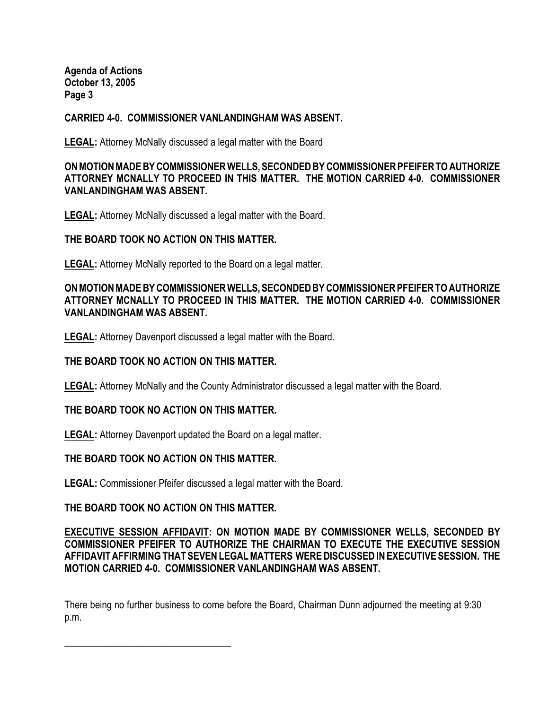**Agenda of Actions October 13, 2005 Page 3**

### **CARRIED 4-0. COMMISSIONER VANLANDINGHAM WAS ABSENT.**

**LEGAL:** Attorney McNally discussed a legal matter with the Board

## **ON MOTION MADE BY COMMISSIONER WELLS, SECONDED BY COMMISSIONER PFEIFER TO AUTHORIZE ATTORNEY MCNALLY TO PROCEED IN THIS MATTER. THE MOTION CARRIED 4-0. COMMISSIONER VANLANDINGHAM WAS ABSENT.**

**LEGAL:** Attorney McNally discussed a legal matter with the Board.

#### **THE BOARD TOOK NO ACTION ON THIS MATTER.**

**LEGAL:** Attorney McNally reported to the Board on a legal matter.

## **ON MOTION MADE BY COMMISSIONER WELLS, SECONDED BY COMMISSIONER PFEIFER TO AUTHORIZE ATTORNEY MCNALLY TO PROCEED IN THIS MATTER. THE MOTION CARRIED 4-0. COMMISSIONER VANLANDINGHAM WAS ABSENT.**

**LEGAL:** Attorney Davenport discussed a legal matter with the Board.

#### **THE BOARD TOOK NO ACTION ON THIS MATTER.**

**LEGAL:** Attorney McNally and the County Administrator discussed a legal matter with the Board.

#### **THE BOARD TOOK NO ACTION ON THIS MATTER.**

**LEGAL:** Attorney Davenport updated the Board on a legal matter.

#### **THE BOARD TOOK NO ACTION ON THIS MATTER.**

**LEGAL:** Commissioner Pfeifer discussed a legal matter with the Board.

#### **THE BOARD TOOK NO ACTION ON THIS MATTER.**

 $\frac{1}{2}$  , and the set of the set of the set of the set of the set of the set of the set of the set of the set of the set of the set of the set of the set of the set of the set of the set of the set of the set of the set

### **EXECUTIVE SESSION AFFIDAVIT: ON MOTION MADE BY COMMISSIONER WELLS, SECONDED BY COMMISSIONER PFEIFER TO AUTHORIZE THE CHAIRMAN TO EXECUTE THE EXECUTIVE SESSION AFFIDAVIT AFFIRMING THAT SEVEN LEGAL MATTERS WERE DISCUSSED IN EXECUTIVE SESSION. THE MOTION CARRIED 4-0. COMMISSIONER VANLANDINGHAM WAS ABSENT.**

There being no further business to come before the Board, Chairman Dunn adjourned the meeting at 9:30 p.m.